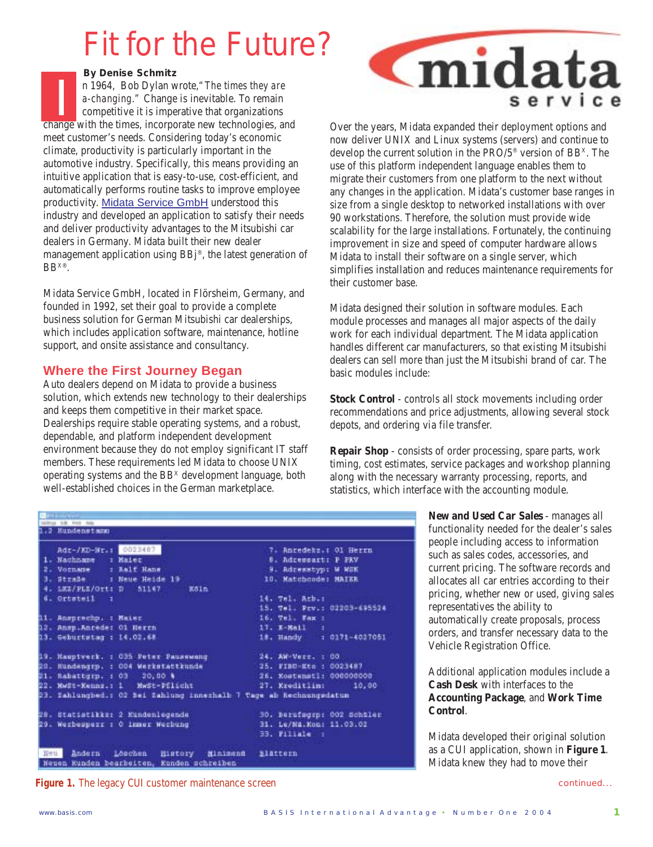# Fit for the Future?

*By Denise Schmitz*

n 1964, Bob Dylan wrote,*"The times they are a-changing."* Change is inevitable. To remain competitive it is imperative that organizations n 1964, Bob Dylan wrote, "The times they are<br>a-changing." Change is inevitable. To remain<br>competitive it is imperative that organizations<br>change with the times, incorporate new technologies, and meet customer's needs. Considering today's economic climate, productivity is particularly important in the automotive industry. Specifically, this means providing an intuitive application that is easy-to-use, cost-efficient, and automatically performs routine tasks to improve employee productivity. Midata Service GmbH understood this industry and developed an application to satisfy their needs and deliver productivity advantages to the Mitsubishi car dealers in Germany. Midata built their new dealer management application using BBj®, the latest generation of BBX®.

Midata Service GmbH, located in Flörsheim, Germany, and founded in 1992, set their goal to provide a complete business solution for German Mitsubishi car dealerships, which includes application software, maintenance, hotline support, and onsite assistance and consultancy.

## **Where the First Journey Began**

Auto dealers depend on Midata to provide a business solution, which extends new technology to their dealerships and keeps them competitive in their market space. Dealerships require stable operating systems, and a robust, dependable, and platform independent development environment because they do not employ significant IT staff members. These requirements led Midata to choose UNIX operating systems and the BB<sup>x</sup> development language, both well-established choices in the German marketplace.



Over the years, Midata expanded their deployment options and now deliver UNIX and Linux systems (servers) and continue to develop the current solution in the PRO/5® version of BBX. The use of this platform independent language enables them to migrate their customers from one platform to the next without any changes in the application. Midata's customer base ranges in size from a single desktop to networked installations with over 90 workstations. Therefore, the solution must provide wide scalability for the large installations. Fortunately, the continuing improvement in size and speed of computer hardware allows Midata to install their software on a single server, which simplifies installation and reduces maintenance requirements for their customer base.

Midata designed their solution in software modules. Each module processes and manages all major aspects of the daily work for each individual department. The Midata application handles different car manufacturers, so that existing Mitsubishi dealers can sell more than just the Mitsubishi brand of car. The basic modules include:

**Stock Control** - controls all stock movements including order recommendations and price adjustments, allowing several stock depots, and ordering via file transfer.

**Repair Shop** - consists of order processing, spare parts, work timing, cost estimates, service packages and workshop planning along with the necessary warranty processing, reports, and statistics, which interface with the accounting module.

| 247114 1-8 F111 Rds |  |
|---------------------|--|
| 1.1 Hundenstamm     |  |
|                     |  |

```
0023487
    Adr-/KD-Nr.1
                                                     Ancedeks. : 01 Herrn
               : Maiec
                                                  8. Adressart: P PRV
 \mathbf{1}.
   Nachhame
 2.
   Vornane
               : Ralf Hans
                                                  9. Adresstyp: W WSK
 3. Straße.
               : Neue Heide 19
                                                 10. Matchcode: MAIER
 41
   LEZ/PLX/Ort: D
                     51147
                                 E51n
 6. Ortateil
                                                14. Tel. Acb. :
               ×
                                                15. Tel. Prv.: 02203-695524
11. Ansprechp. : Maier
                                                16. Vel. Fax :
12. Amep.Anrede: 01 Herrn
                                                17. K-Mail
13. Geburtstag : 14.02.68
                                                18. Handy
                                                              : 0171 - 401705119. Hauptverk. : 035 Peter Pausewang
                                                24. AW-Verr. : 00
20. Kundengrp. : 004 Werkstattkunde
                                                25. FIBU-Etc : 0023487
                                                26. Kostenstl: 000000000
21. Nabattgrp. : 03 20,00 %
                    MwSt-Pflicht
22. Medi-Kennz.: 1
                                                27. Kreditlin:
                                                                     10,00
23. Zahlungbed.: 02 Bei fahlung innerhalb 7 Tage ab Rechnungsdatun
28. Statistikke: 2 Kundenlegende
                                                30. Berufagrp: 002 Schtler
29. Werbesperr : 0 inner Werbung
                                                31. Le/Ma.Kon: 11.03.02
                                                33. Filiale :
Neu
      Andern Lönchen
                          History
                                    Minimena
                                                Elattern
Neuen Kunden bearbeiten, Kunden schreiben
```
**Figure 1.** The legacy CUI customer maintenance screen

**New and Used Car Sales** - manages all functionality needed for the dealer's sales people including access to information such as sales codes, accessories, and current pricing. The software records and allocates all car entries according to their pricing, whether new or used, giving sales representatives the ability to automatically create proposals, process orders, and transfer necessary data to the Vehicle Registration Office.

Additional application modules include a **Cash Desk** with interfaces to the **Accounting Package**, and **Work Time Control**.

Midata developed their original solution as a CUI application, shown in **Figure 1**. Midata knew they had to move their

continued...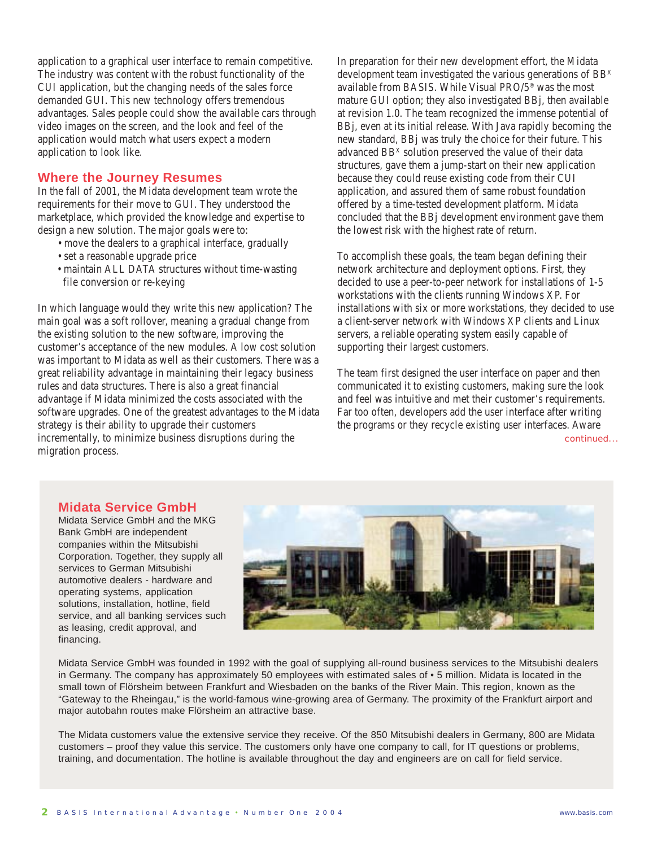application to a graphical user interface to remain competitive. The industry was content with the robust functionality of the CUI application, but the changing needs of the sales force demanded GUI. This new technology offers tremendous advantages. Sales people could show the available cars through video images on the screen, and the look and feel of the application would match what users expect a modern application to look like.

#### **Where the Journey Resumes**

In the fall of 2001, the Midata development team wrote the requirements for their move to GUI. They understood the marketplace, which provided the knowledge and expertise to design a new solution. The major goals were to:

- move the dealers to a graphical interface, gradually
- set a reasonable upgrade price
- maintain ALL DATA structures without time-wasting file conversion or re-keying

In which language would they write this new application? The main goal was a soft rollover, meaning a gradual change from the existing solution to the new software, improving the customer's acceptance of the new modules. A low cost solution was important to Midata as well as their customers. There was a great reliability advantage in maintaining their legacy business rules and data structures. There is also a great financial advantage if Midata minimized the costs associated with the software upgrades. One of the greatest advantages to the Midata strategy is their ability to upgrade their customers incrementally, to minimize business disruptions during the migration process.

In preparation for their new development effort, the Midata development team investigated the various generations of BB<sup>x</sup> available from BASIS. While Visual PRO/5® was the most mature GUI option; they also investigated BBj, then available at revision 1.0. The team recognized the immense potential of BBj, even at its initial release. With Java rapidly becoming the new standard, BBj was truly the choice for their future. This advanced BB<sup>x</sup> solution preserved the value of their data structures, gave them a jump-start on their new application because they could reuse existing code from their CUI application, and assured them of same robust foundation offered by a time-tested development platform. Midata concluded that the BBj development environment gave them the lowest risk with the highest rate of return.

To accomplish these goals, the team began defining their network architecture and deployment options. First, they decided to use a peer-to-peer network for installations of 1-5 workstations with the clients running Windows XP. For installations with six or more workstations, they decided to use a client-server network with Windows XP clients and Linux servers, a reliable operating system easily capable of supporting their largest customers.

continued... The team first designed the user interface on paper and then communicated it to existing customers, making sure the look and feel was intuitive and met their customer's requirements. Far too often, developers add the user interface after writing the programs or they recycle existing user interfaces. Aware

### **Midata Service GmbH**

Midata Service GmbH and the MKG Bank GmbH are independent companies within the Mitsubishi Corporation. Together, they supply all services to German Mitsubishi automotive dealers - hardware and operating systems, application solutions, installation, hotline, field service, and all banking services such as leasing, credit approval, and financing.



Midata Service GmbH was founded in 1992 with the goal of supplying all-round business services to the Mitsubishi dealers in Germany. The company has approximately 50 employees with estimated sales of • 5 million. Midata is located in the small town of Flörsheim between Frankfurt and Wiesbaden on the banks of the River Main. This region, known as the "Gateway to the Rheingau," is the world-famous wine-growing area of Germany. The proximity of the Frankfurt airport and major autobahn routes make Flörsheim an attractive base.

The Midata customers value the extensive service they receive. Of the 850 Mitsubishi dealers in Germany, 800 are Midata customers – proof they value this service. The customers only have one company to call, for IT questions or problems, training, and documentation. The hotline is available throughout the day and engineers are on call for field service.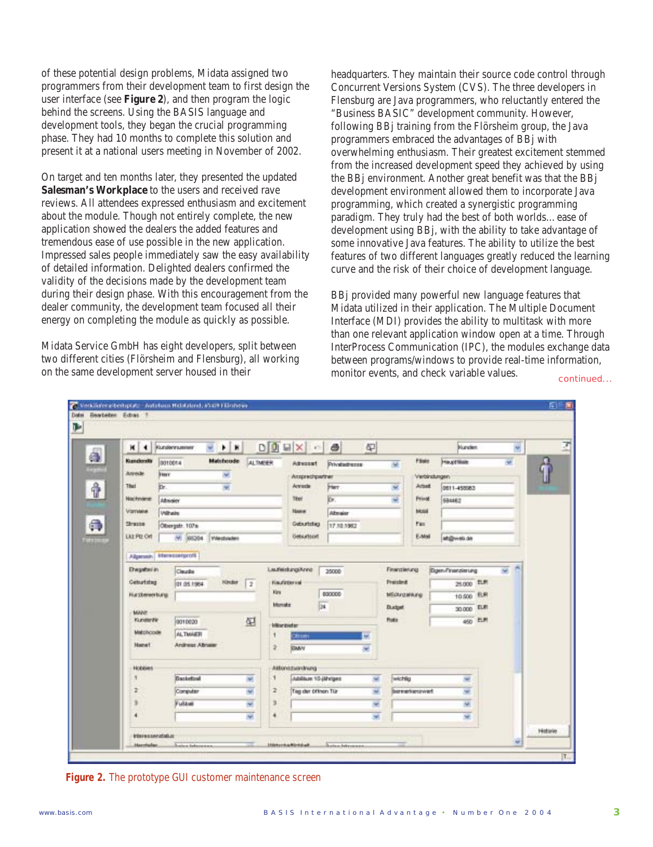of these potential design problems, Midata assigned two programmers from their development team to first design the user interface (see **Figure 2**), and then program the logic behind the screens. Using the BASIS language and development tools, they began the crucial programming phase. They had 10 months to complete this solution and present it at a national users meeting in November of 2002.

On target and ten months later, they presented the updated **Salesman's Workplace** to the users and received rave reviews. All attendees expressed enthusiasm and excitement about the module. Though not entirely complete, the new application showed the dealers the added features and tremendous ease of use possible in the new application. Impressed sales people immediately saw the easy availability of detailed information. Delighted dealers confirmed the validity of the decisions made by the development team during their design phase. With this encouragement from the dealer community, the development team focused all their energy on completing the module as quickly as possible.

Midata Service GmbH has eight developers, split between two different cities (Flörsheim and Flensburg), all working on the same development server housed in their

headquarters. They maintain their source code control through Concurrent Versions System (CVS). The three developers in Flensburg are Java programmers, who reluctantly entered the "Business BASIC" development community. However, following BBj training from the Flörsheim group, the Java programmers embraced the advantages of BBj with overwhelming enthusiasm. Their greatest excitement stemmed from the increased development speed they achieved by using the BBj environment. Another great benefit was that the BBj development environment allowed them to incorporate Java programming, which created a synergistic programming paradigm. They truly had the best of both worlds…ease of development using BBj, with the ability to take advantage of some innovative Java features. The ability to utilize the best features of two different languages greatly reduced the learning curve and the risk of their choice of development language.

BBj provided many powerful new language features that Midata utilized in their application. The Multiple Document Interface (MDI) provides the ability to multitask with more than one relevant application window open at a time. Through InterProcess Communication (IPC), the modules exchange data between programs/windows to provide real-time information, monitor events, and check variable values.

continued...



**Figure 2.** The prototype GUI customer maintenance screen